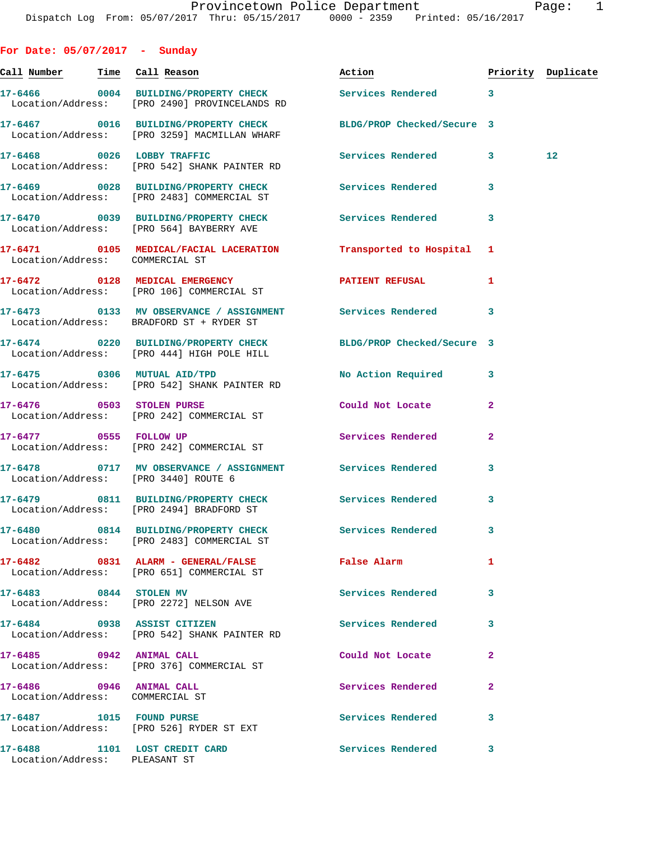| For Date: $05/07/2017$ - Sunday                             |                                                                                                           |                            |              |                    |
|-------------------------------------------------------------|-----------------------------------------------------------------------------------------------------------|----------------------------|--------------|--------------------|
| <u>Call Number — Time Call Reason</u>                       |                                                                                                           | Action                     |              | Priority Duplicate |
|                                                             | 17-6466 0004 BUILDING/PROPERTY CHECK Services Rendered 3<br>Location/Address: [PRO 2490] PROVINCELANDS RD |                            |              |                    |
|                                                             | 17-6467 0016 BUILDING/PROPERTY CHECK<br>Location/Address: [PRO 3259] MACMILLAN WHARF                      | BLDG/PROP Checked/Secure 3 |              |                    |
|                                                             | 17-6468 0026 LOBBY TRAFFIC<br>Location/Address: [PRO 542] SHANK PAINTER RD                                | Services Rendered 3        |              | 12                 |
|                                                             | 17-6469 0028 BUILDING/PROPERTY CHECK Services Rendered<br>Location/Address: [PRO 2483] COMMERCIAL ST      |                            | 3            |                    |
|                                                             | 17-6470 0039 BUILDING/PROPERTY CHECK Services Rendered<br>Location/Address: [PRO 564] BAYBERRY AVE        |                            | 3            |                    |
| Location/Address: COMMERCIAL ST                             | 17-6471 0105 MEDICAL/FACIAL LACERATION Transported to Hospital 1                                          |                            |              |                    |
|                                                             | 17-6472 0128 MEDICAL EMERGENCY<br>Location/Address: [PRO 106] COMMERCIAL ST                               | PATIENT REFUSAL            | 1            |                    |
|                                                             | 17-6473 		 0133 MV OBSERVANCE / ASSIGNMENT Services Rendered<br>Location/Address: BRADFORD ST + RYDER ST  |                            | 3            |                    |
|                                                             | 17-6474 0220 BUILDING/PROPERTY CHECK<br>Location/Address: [PRO 444] HIGH POLE HILL                        | BLDG/PROP Checked/Secure 3 |              |                    |
|                                                             | 17-6475 0306 MUTUAL AID/TPD<br>Location/Address: [PRO 542] SHANK PAINTER RD                               | No Action Required 3       |              |                    |
|                                                             | 17-6476 0503 STOLEN PURSE<br>Location/Address: [PRO 242] COMMERCIAL ST                                    | Could Not Locate           | $\mathbf{2}$ |                    |
| 17-6477 0555 FOLLOW UP                                      | Location/Address: [PRO 242] COMMERCIAL ST                                                                 | Services Rendered          | $\mathbf{2}$ |                    |
| Location/Address: [PRO 3440] ROUTE 6                        | 17-6478 0717 MV OBSERVANCE / ASSIGNMENT Services Rendered                                                 |                            | 3            |                    |
|                                                             | 17-6479 0811 BUILDING/PROPERTY CHECK Services Rendered<br>Location/Address: [PRO 2494] BRADFORD ST        |                            | 3            |                    |
|                                                             | 17-6480 0814 BUILDING/PROPERTY CHECK<br>Location/Address: [PRO 2483] COMMERCIAL ST                        | Services Rendered          | 3            |                    |
|                                                             | 17-6482 0831 ALARM - GENERAL/FALSE<br>Location/Address: [PRO 651] COMMERCIAL ST                           | False Alarm                | 1            |                    |
| 17-6483 0844 STOLEN MV                                      | Location/Address: [PRO 2272] NELSON AVE                                                                   | <b>Services Rendered</b>   | 3            |                    |
| 17-6484 0938 ASSIST CITIZEN                                 | Location/Address: [PRO 542] SHANK PAINTER RD                                                              | Services Rendered          | 3            |                    |
| 17-6485 0942 ANIMAL CALL                                    | Location/Address: [PRO 376] COMMERCIAL ST                                                                 | Could Not Locate           | 2            |                    |
| 17-6486 0946 ANIMAL CALL<br>Location/Address: COMMERCIAL ST |                                                                                                           | Services Rendered          | $\mathbf{2}$ |                    |
|                                                             | 17-6487 1015 FOUND PURSE<br>Location/Address: [PRO 526] RYDER ST EXT                                      | Services Rendered          | 3            |                    |

**17-6488 1101 LOST CREDIT CARD Services Rendered 3**  Location/Address: PLEASANT ST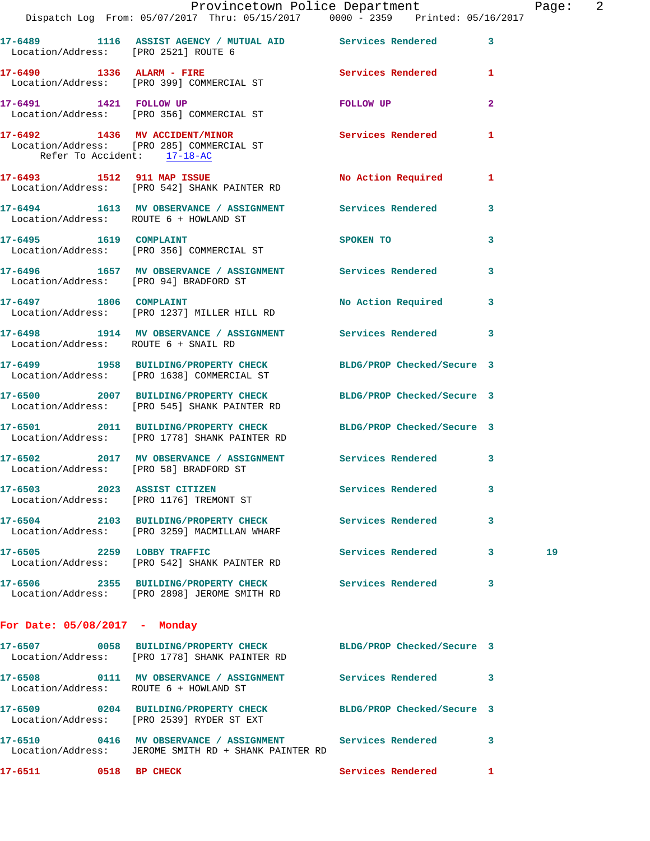|                                 | Provincetown Police Department The Page: 2<br>Dispatch Log From: 05/07/2017 Thru: 05/15/2017 0000 - 2359 Printed: 05/16/2017 |                      |                         |    |  |
|---------------------------------|------------------------------------------------------------------------------------------------------------------------------|----------------------|-------------------------|----|--|
|                                 | 17-6489 1116 ASSIST AGENCY / MUTUAL AID Services Rendered 3<br>Location/Address: [PRO 2521] ROUTE 6                          |                      |                         |    |  |
|                                 | 17-6490 1336 ALARM - FIRE Services Rendered 1<br>Location/Address: [PRO 399] COMMERCIAL ST                                   |                      |                         |    |  |
|                                 | 17-6491 1421 FOLLOW UP<br>Location/Address: [PRO 356] COMMERCIAL ST                                                          | FOLLOW UP            | $\mathbf{2}$            |    |  |
| Refer To Accident: 17-18-AC     | 17-6492 1436 MV ACCIDENT/MINOR Services Rendered 1<br>Location/Address: [PRO 285] COMMERCIAL ST                              |                      |                         |    |  |
|                                 | 17-6493 1512 911 MAP ISSUE 1 No Action Required 1<br>Location/Address: [PRO 542] SHANK PAINTER RD                            |                      |                         |    |  |
|                                 | 17-6494 1613 MV OBSERVANCE / ASSIGNMENT Services Rendered 3<br>Location/Address: ROUTE 6 + HOWLAND ST                        |                      |                         |    |  |
|                                 | 17-6495 1619 COMPLAINT<br>Location/Address: [PRO 356] COMMERCIAL ST                                                          | SPOKEN TO 3          |                         |    |  |
|                                 | 17-6496 1657 MV OBSERVANCE / ASSIGNMENT Services Rendered 3<br>Location/Address: [PRO 94] BRADFORD ST                        |                      |                         |    |  |
| 17-6497 1806 COMPLAINT          | Location/Address: [PRO 1237] MILLER HILL RD                                                                                  | No Action Required 3 |                         |    |  |
|                                 | 17-6498 1914 MV OBSERVANCE / ASSIGNMENT Services Rendered 3<br>Location/Address: ROUTE 6 + SNAIL RD                          |                      |                         |    |  |
|                                 | 17-6499 1958 BUILDING/PROPERTY CHECK BLDG/PROP Checked/Secure 3<br>Location/Address: [PRO 1638] COMMERCIAL ST                |                      |                         |    |  |
|                                 | 17-6500 2007 BUILDING/PROPERTY CHECK BLDG/PROP Checked/Secure 3<br>Location/Address: [PRO 545] SHANK PAINTER RD              |                      |                         |    |  |
|                                 | 17-6501 2011 BUILDING/PROPERTY CHECK BLDG/PROP Checked/Secure 3<br>Location/Address: [PRO 1778] SHANK PAINTER RD             |                      |                         |    |  |
|                                 | 17-6502 2017 MV OBSERVANCE / ASSIGNMENT Services Rendered 3<br>Location/Address: [PRO 58] BRADFORD ST                        |                      |                         |    |  |
|                                 | 17-6503 2023 ASSIST CITIZEN<br>Location/Address: [PRO 1176] TREMONT ST                                                       | Services Rendered 3  |                         |    |  |
|                                 | 17-6504 2103 BUILDING/PROPERTY CHECK Services Rendered<br>Location/Address: [PRO 3259] MACMILLAN WHARF                       |                      | $\overline{\mathbf{3}}$ |    |  |
|                                 | 17-6505 2259 LOBBY TRAFFIC<br>Location/Address: [PRO 542] SHANK PAINTER RD                                                   | Services Rendered 3  |                         | 19 |  |
|                                 | 17-6506 2355 BUILDING/PROPERTY CHECK Services Rendered<br>Location/Address: [PRO 2898] JEROME SMITH RD                       |                      | 3                       |    |  |
| For Date: $05/08/2017$ - Monday |                                                                                                                              |                      |                         |    |  |
|                                 | 17-6507 0058 BUILDING/PROPERTY CHECK BLDG/PROP Checked/Secure 3<br>Location/Address: [PRO 1778] SHANK PAINTER RD             |                      |                         |    |  |
|                                 | 17-6508 0111 MV OBSERVANCE / ASSIGNMENT Services Rendered 3<br>Location/Address: ROUTE 6 + HOWLAND ST                        |                      |                         |    |  |
|                                 | 17-6509 0204 BUILDING/PROPERTY CHECK BLDG/PROP Checked/Secure 3<br>Location/Address: [PRO 2539] RYDER ST EXT                 |                      |                         |    |  |
|                                 | 17-6510 0416 MV OBSERVANCE / ASSIGNMENT Services Rendered 3<br>Location/Address: JEROME SMITH RD + SHANK PAINTER RD          |                      |                         |    |  |
| 17-6511 0518 BP CHECK           |                                                                                                                              | Services Rendered 1  |                         |    |  |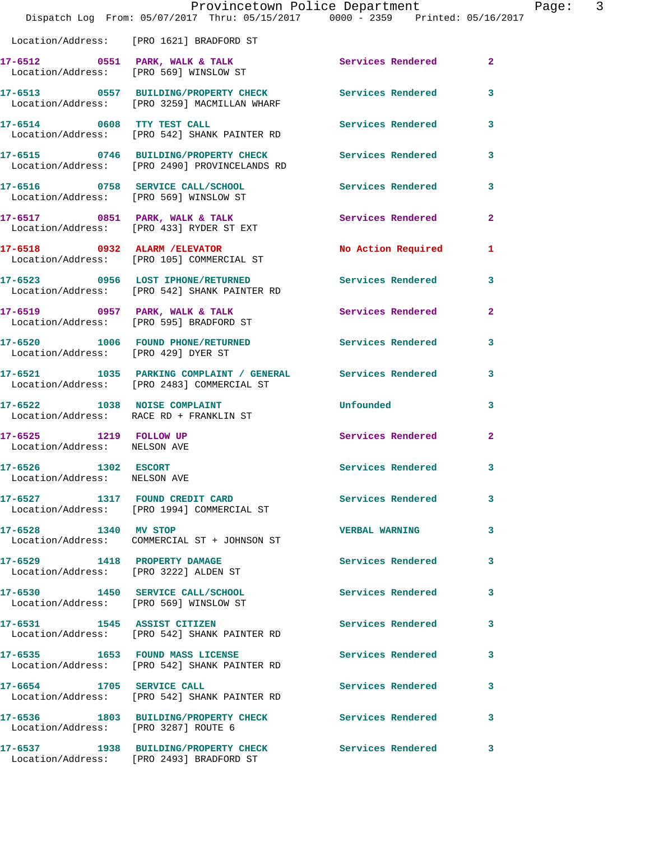|                                                                       | Dispatch Log From: 05/07/2017 Thru: 05/15/2017 0000 - 2359 Printed: 05/16/2017                                        | Provincetown Police Department |                |
|-----------------------------------------------------------------------|-----------------------------------------------------------------------------------------------------------------------|--------------------------------|----------------|
|                                                                       | Location/Address: [PRO 1621] BRADFORD ST                                                                              |                                |                |
|                                                                       | 17-6512 0551 PARK, WALK & TALK Services Rendered Location/Address: [PRO 569] WINSLOW ST                               |                                | $\overline{2}$ |
|                                                                       | 17-6513      0557   BUILDING/PROPERTY CHECK        Services Rendered<br>Location/Address:   [PRO 3259]MACMILLAN WHARF |                                | 3              |
| 17-6514 0608 TTY TEST CALL                                            | Location/Address: [PRO 542] SHANK PAINTER RD                                                                          | <b>Services Rendered</b>       | 3              |
|                                                                       | 17-6515 0746 BUILDING/PROPERTY CHECK<br>Location/Address: [PRO 2490] PROVINCELANDS RD                                 | <b>Services Rendered</b>       | 3              |
|                                                                       | 17-6516 0758 SERVICE CALL/SCHOOL<br>Location/Address: [PRO 569] WINSLOW ST                                            | <b>Services Rendered</b>       | 3              |
|                                                                       | 17-6517 0851 PARK, WALK & TALK<br>Location/Address: [PRO 433] RYDER ST EXT                                            | <b>Services Rendered</b>       | $\overline{a}$ |
|                                                                       | 17-6518 0932 ALARM / ELEVATOR<br>Location/Address: [PRO 105] COMMERCIAL ST                                            | No Action Required             | 1              |
|                                                                       | 17-6523 0956 LOST IPHONE/RETURNED Services Rendered<br>Location/Address: [PRO 542] SHANK PAINTER RD                   |                                | 3              |
|                                                                       | 17-6519 0957 PARK, WALK & TALK<br>Location/Address: [PRO 595] BRADFORD ST                                             | Services Rendered              | $\mathbf{2}$   |
| Location/Address: [PRO 429] DYER ST                                   | 17-6520 1006 FOUND PHONE/RETURNED                                                                                     | Services Rendered              | 3              |
|                                                                       | 17-6521 1035 PARKING COMPLAINT / GENERAL Services Rendered<br>Location/Address: [PRO 2483] COMMERCIAL ST              |                                | 3              |
| 17-6522 1038 NOISE COMPLAINT                                          | Location/Address: RACE RD + FRANKLIN ST                                                                               | Unfounded                      | 3              |
| 17-6525 1219 FOLLOW UP<br>Location/Address: NELSON AVE                |                                                                                                                       | <b>Services Rendered</b>       | $\overline{2}$ |
| 17-6526 1302 ESCORT<br>Location/Address: NELSON AVE                   |                                                                                                                       | <b>Services Rendered</b>       |                |
|                                                                       | 17-6527 1317 FOUND CREDIT CARD<br>Location/Address: [PRO 1994] COMMERCIAL ST                                          | <b>Services Rendered</b>       | 3              |
| 17-6528 1340 MV STOP                                                  | Location/Address: COMMERCIAL ST + JOHNSON ST                                                                          | <b>VERBAL WARNING</b>          | 3              |
| 17-6529 1418 PROPERTY DAMAGE<br>Location/Address: [PRO 3222] ALDEN ST |                                                                                                                       | Services Rendered              | 3              |
|                                                                       | 17-6530 1450 SERVICE CALL/SCHOOL<br>Location/Address: [PRO 569] WINSLOW ST                                            | <b>Services Rendered</b>       | 3              |
|                                                                       | 17-6531 1545 ASSIST CITIZEN<br>Location/Address: [PRO 542] SHANK PAINTER RD                                           | Services Rendered              | 3              |
| 17-6535 1653 FOUND MASS LICENSE                                       | Location/Address: [PRO 542] SHANK PAINTER RD                                                                          | <b>Services Rendered</b>       | 3              |
| 17-6654 1705 SERVICE CALL                                             | Location/Address: [PRO 542] SHANK PAINTER RD                                                                          | Services Rendered              | 3              |
| Location/Address: [PRO 3287] ROUTE 6                                  | 17-6536 1803 BUILDING/PROPERTY CHECK                                                                                  | <b>Services Rendered</b>       | 3              |
|                                                                       |                                                                                                                       | Services Rendered              | 3              |

Location/Address: [PRO 2493] BRADFORD ST

Page: 3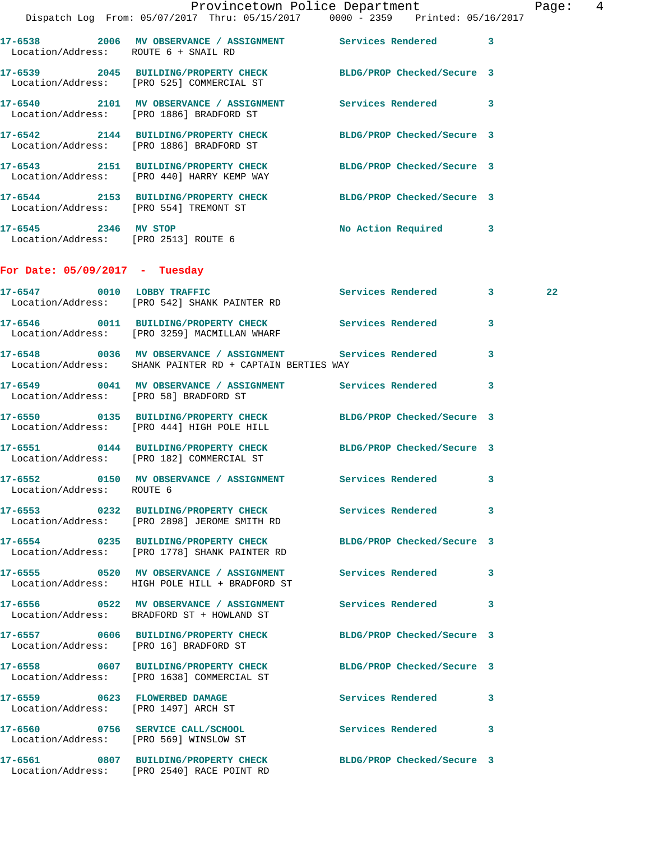|                                        | Provincetown Police Department<br>Dispatch Log From: 05/07/2017 Thru: 05/15/2017 0000 - 2359 Printed: 05/16/2017        |                      | Page: 4 |  |
|----------------------------------------|-------------------------------------------------------------------------------------------------------------------------|----------------------|---------|--|
| Location/Address: ROUTE 6 + SNAIL RD   | 17-6538 2006 MV OBSERVANCE / ASSIGNMENT Services Rendered 3                                                             |                      |         |  |
|                                        | 17-6539 2045 BUILDING/PROPERTY CHECK BLDG/PROP Checked/Secure 3<br>Location/Address: [PRO 525] COMMERCIAL ST            |                      |         |  |
|                                        | 17-6540 2101 MV OBSERVANCE / ASSIGNMENT Services Rendered 3<br>Location/Address: [PRO 1886] BRADFORD ST                 |                      |         |  |
|                                        | 17-6542 2144 BUILDING/PROPERTY CHECK BLDG/PROP Checked/Secure 3<br>Location/Address: [PRO 1886] BRADFORD ST             |                      |         |  |
|                                        | 17-6543 2151 BUILDING/PROPERTY CHECK BLDG/PROP Checked/Secure 3<br>Location/Address: [PRO 440] HARRY KEMP WAY           |                      |         |  |
| Location/Address: [PRO 554] TREMONT ST | 17-6544 2153 BUILDING/PROPERTY CHECK BLDG/PROP Checked/Secure 3                                                         |                      |         |  |
| 17-6545 2346 MV STOP                   | Location/Address: [PRO 2513] ROUTE 6                                                                                    | No Action Required 3 |         |  |
| For Date: $05/09/2017$ - Tuesday       |                                                                                                                         |                      |         |  |
|                                        | 17-6547 0010 LOBBY TRAFFIC Services Rendered 3<br>Location/Address: [PRO 542] SHANK PAINTER RD                          |                      | 22      |  |
|                                        | 17-6546 0011 BUILDING/PROPERTY CHECK Services Rendered 3<br>Location/Address: [PRO 3259] MACMILLAN WHARF                |                      |         |  |
|                                        | 17-6548 0036 MV OBSERVANCE / ASSIGNMENT Services Rendered 3<br>Location/Address: SHANK PAINTER RD + CAPTAIN BERTIES WAY |                      |         |  |
|                                        | 17-6549 0041 MV OBSERVANCE / ASSIGNMENT Services Rendered 3<br>Location/Address: [PRO 58] BRADFORD ST                   |                      |         |  |
|                                        | 17-6550 0135 BUILDING/PROPERTY CHECK BLDG/PROP Checked/Secure 3<br>Location/Address: [PRO 444] HIGH POLE HILL           |                      |         |  |
|                                        | 17-6551 0144 BUILDING/PROPERTY CHECK BLDG/PROP Checked/Secure 3<br>Location/Address: [PRO 182] COMMERCIAL ST            |                      |         |  |
| Location/Address: ROUTE 6              | 17-6552 0150 MV OBSERVANCE / ASSIGNMENT Services Rendered 3                                                             |                      |         |  |
|                                        | 17-6553 0232 BUILDING/PROPERTY CHECK Services Rendered 3<br>Location/Address: [PRO 2898] JEROME SMITH RD                |                      |         |  |
|                                        | 17-6554 0235 BUILDING/PROPERTY CHECK BLDG/PROP Checked/Secure 3<br>Location/Address: [PRO 1778] SHANK PAINTER RD        |                      |         |  |
|                                        | 17-6555 0520 MV OBSERVANCE / ASSIGNMENT Services Rendered 3<br>Location/Address: HIGH POLE HILL + BRADFORD ST           |                      |         |  |
|                                        | 17-6556 0522 MV OBSERVANCE / ASSIGNMENT Services Rendered 3<br>Location/Address: BRADFORD ST + HOWLAND ST               |                      |         |  |
|                                        | 17-6557 0606 BUILDING/PROPERTY CHECK BLDG/PROP Checked/Secure 3<br>Location/Address: [PRO 16] BRADFORD ST               |                      |         |  |
|                                        | 17-6558 0607 BUILDING/PROPERTY CHECK BLDG/PROP Checked/Secure 3<br>Location/Address: [PRO 1638] COMMERCIAL ST           |                      |         |  |
| Location/Address: [PRO 1497] ARCH ST   | 17-6559 0623 FLOWERBED DAMAGE                                                                                           | Services Rendered 3  |         |  |
|                                        | 17-6560 0756 SERVICE CALL/SCHOOL<br>Location/Address: [PRO 569] WINSLOW ST                                              | Services Rendered 3  |         |  |
|                                        | 17-6561 0807 BUILDING/PROPERTY CHECK BLDG/PROP Checked/Secure 3                                                         |                      |         |  |

Location/Address: [PRO 2540] RACE POINT RD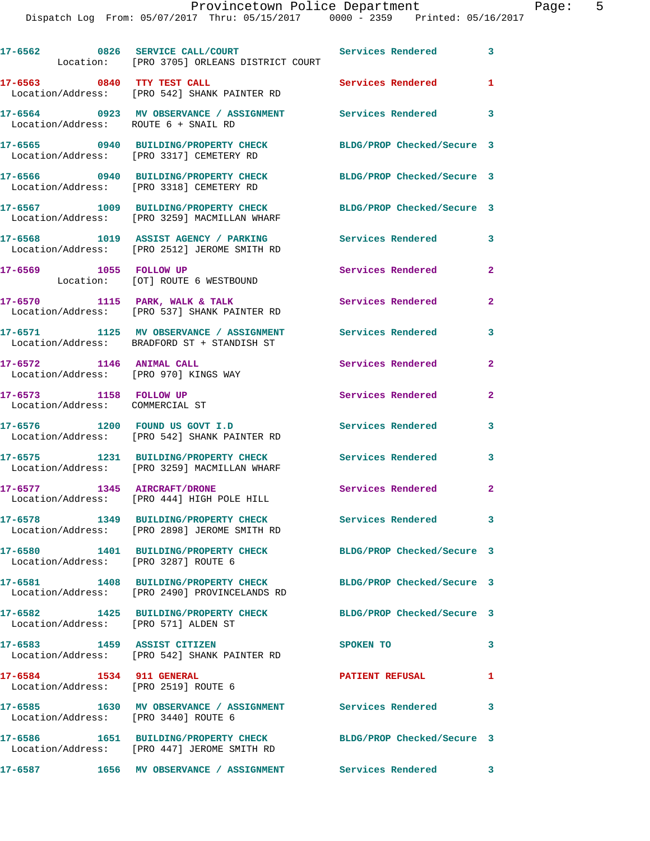|                                                                   | 17-6562 0826 SERVICE CALL/COURT Services Rendered 3<br>Location: [PRO 3705] ORLEANS DISTRICT COURT       |                            |                            |
|-------------------------------------------------------------------|----------------------------------------------------------------------------------------------------------|----------------------------|----------------------------|
|                                                                   | 17-6563 0840 TTY TEST CALL<br>Location/Address: [PRO 542] SHANK PAINTER RD                               | Services Rendered          | 1                          |
| Location/Address: ROUTE 6 + SNAIL RD                              | 17-6564 0923 MV OBSERVANCE / ASSIGNMENT Services Rendered                                                |                            | $\overline{\phantom{a}}$ 3 |
|                                                                   | 17-6565 0940 BUILDING/PROPERTY CHECK<br>Location/Address: [PRO 3317] CEMETERY RD                         | BLDG/PROP Checked/Secure 3 |                            |
|                                                                   | 17-6566 0940 BUILDING/PROPERTY CHECK<br>Location/Address: [PRO 3318] CEMETERY RD                         | BLDG/PROP Checked/Secure 3 |                            |
|                                                                   | 17-6567 1009 BUILDING/PROPERTY CHECK<br>Location/Address: [PRO 3259] MACMILLAN WHARF                     | BLDG/PROP Checked/Secure 3 |                            |
|                                                                   | 17-6568 1019 ASSIST AGENCY / PARKING Services Rendered<br>Location/Address: [PRO 2512] JEROME SMITH RD   |                            | $\overline{\mathbf{3}}$    |
| 17-6569 1055 FOLLOW UP                                            | Location: [OT] ROUTE 6 WESTBOUND                                                                         | Services Rendered          | $\overline{2}$             |
|                                                                   | 17-6570 1115 PARK, WALK & TALK<br>Location/Address: [PRO 537] SHANK PAINTER RD                           | <b>Services Rendered</b>   | $\mathbf{2}$               |
|                                                                   | 17-6571 1125 MV OBSERVANCE / ASSIGNMENT Services Rendered<br>Location/Address: BRADFORD ST + STANDISH ST |                            | 3                          |
| 17-6572 1146 ANIMAL CALL<br>Location/Address: [PRO 970] KINGS WAY |                                                                                                          | Services Rendered          | $\mathbf{2}$               |
| 17-6573 1158 FOLLOW UP<br>Location/Address: COMMERCIAL ST         |                                                                                                          | Services Rendered          | $\mathbf{2}$               |
|                                                                   | 17-6576 1200 FOUND US GOVT I.D<br>Location/Address: [PRO 542] SHANK PAINTER RD                           | Services Rendered          | 3                          |
|                                                                   | 17-6575 1231 BUILDING/PROPERTY CHECK<br>Location/Address: [PRO 3259] MACMILLAN WHARF                     | Services Rendered          | 3                          |
|                                                                   | 17-6577 1345 AIRCRAFT/DRONE<br>Location/Address: [PRO 444] HIGH POLE HILL                                | <b>Services Rendered</b>   | $\overline{2}$             |
|                                                                   | 17-6578 1349 BUILDING/PROPERTY CHECK Services Rendered 3<br>Location/Address: [PRO 2898] JEROME SMITH RD |                            |                            |
| Location/Address: [PRO 3287] ROUTE 6                              | 17-6580 1401 BUILDING/PROPERTY CHECK                                                                     | BLDG/PROP Checked/Secure 3 |                            |
|                                                                   | 17-6581 1408 BUILDING/PROPERTY CHECK<br>Location/Address: [PRO 2490] PROVINCELANDS RD                    | BLDG/PROP Checked/Secure 3 |                            |
| Location/Address: [PRO 571] ALDEN ST                              | 17-6582 1425 BUILDING/PROPERTY CHECK                                                                     | BLDG/PROP Checked/Secure 3 |                            |
| 17-6583 1459 ASSIST CITIZEN                                       | Location/Address: [PRO 542] SHANK PAINTER RD                                                             | SPOKEN TO                  | 3                          |
| 17-6584 1534 911 GENERAL<br>Location/Address: [PRO 2519] ROUTE 6  |                                                                                                          | <b>PATIENT REFUSAL</b>     | 1                          |
| Location/Address: [PRO 3440] ROUTE 6                              | 17-6585 1630 MV OBSERVANCE / ASSIGNMENT Services Rendered                                                |                            | 3                          |
|                                                                   | 17-6586 1651 BUILDING/PROPERTY CHECK<br>Location/Address: [PRO 447] JEROME SMITH RD                      | BLDG/PROP Checked/Secure 3 |                            |
|                                                                   | 17-6587 1656 MV OBSERVANCE / ASSIGNMENT Services Rendered 3                                              |                            |                            |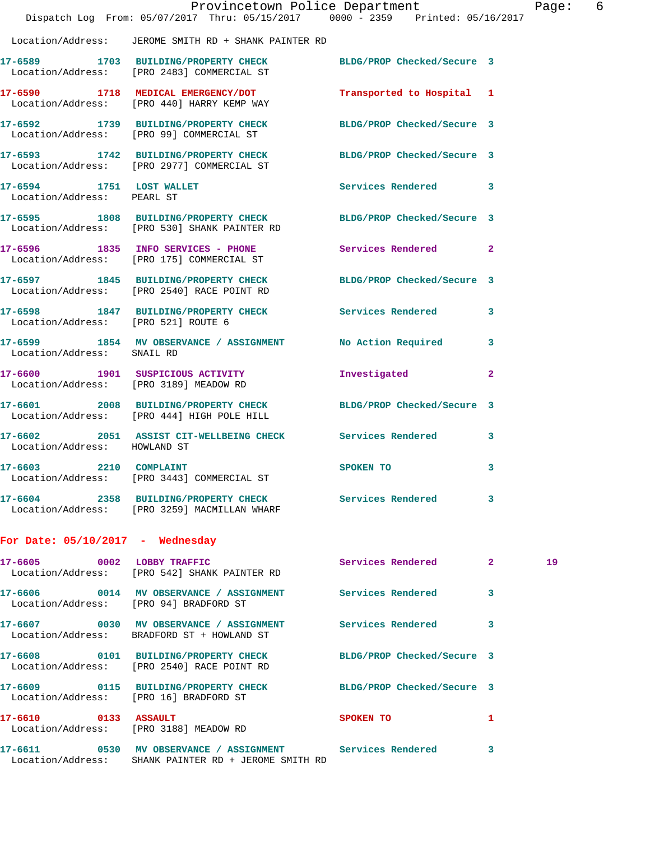|                                                        | Dispatch Log From: 05/07/2017 Thru: 05/15/2017 0000 - 2359 Printed: 05/16/2017                                      | Provincetown Police Department |              | Page: 6 |  |
|--------------------------------------------------------|---------------------------------------------------------------------------------------------------------------------|--------------------------------|--------------|---------|--|
|                                                        | Location/Address: JEROME SMITH RD + SHANK PAINTER RD                                                                |                                |              |         |  |
|                                                        | 17-6589 1703 BUILDING/PROPERTY CHECK BLDG/PROP Checked/Secure 3<br>Location/Address: [PRO 2483] COMMERCIAL ST       |                                |              |         |  |
|                                                        | 17-6590 1718 MEDICAL EMERGENCY/DOT<br>Location/Address: [PRO 440] HARRY KEMP WAY                                    | Transported to Hospital 1      |              |         |  |
|                                                        | 17-6592 1739 BUILDING/PROPERTY CHECK BLDG/PROP Checked/Secure 3<br>Location/Address: [PRO 99] COMMERCIAL ST         |                                |              |         |  |
|                                                        | 17-6593 1742 BUILDING/PROPERTY CHECK BLDG/PROP Checked/Secure 3<br>Location/Address: [PRO 2977] COMMERCIAL ST       |                                |              |         |  |
| 17-6594 1751 LOST WALLET<br>Location/Address: PEARL ST |                                                                                                                     | Services Rendered 3            |              |         |  |
|                                                        | 17-6595 1808 BUILDING/PROPERTY CHECK BLDG/PROP Checked/Secure 3<br>Location/Address: [PRO 530] SHANK PAINTER RD     |                                |              |         |  |
|                                                        | 17-6596 1835 INFO SERVICES - PHONE<br>Location/Address: [PRO 175] COMMERCIAL ST                                     | Services Rendered              | $\mathbf{2}$ |         |  |
|                                                        | 17-6597 1845 BUILDING/PROPERTY CHECK BLDG/PROP Checked/Secure 3<br>Location/Address: [PRO 2540] RACE POINT RD       |                                |              |         |  |
| Location/Address: [PRO 521] ROUTE 6                    | 17-6598 1847 BUILDING/PROPERTY CHECK Services Rendered                                                              |                                | 3            |         |  |
| Location/Address: SNAIL RD                             | 17-6599 1854 MV OBSERVANCE / ASSIGNMENT No Action Required 3                                                        |                                |              |         |  |
| Location/Address: [PRO 3189] MEADOW RD                 | 17-6600 1901 SUSPICIOUS ACTIVITY                                                                                    | Investigated                   | $\mathbf{2}$ |         |  |
|                                                        | 17-6601 2008 BUILDING/PROPERTY CHECK BLDG/PROP Checked/Secure 3<br>Location/Address: [PRO 444] HIGH POLE HILL       |                                |              |         |  |
| Location/Address: HOWLAND ST                           | 17-6602 2051 ASSIST CIT-WELLBEING CHECK Services Rendered                                                           |                                | 3            |         |  |
| 2210 COMPLAINT<br>$17 - 6603$                          | Location/Address: [PRO 3443] COMMERCIAL ST                                                                          | SPOKEN TO                      | 3            |         |  |
|                                                        | 17-6604 2358 BUILDING/PROPERTY CHECK Services Rendered 3<br>Location/Address: [PRO 3259] MACMILLAN WHARF            |                                |              |         |  |
| For Date: $05/10/2017$ - Wednesday                     |                                                                                                                     |                                |              |         |  |
|                                                        | 17-6605 0002 LOBBY TRAFFIC<br>Location/Address: [PRO 542] SHANK PAINTER RD                                          | Services Rendered 2            |              | 19      |  |
| Location/Address: [PRO 94] BRADFORD ST                 | 17-6606 0014 MV OBSERVANCE / ASSIGNMENT Services Rendered 3                                                         |                                |              |         |  |
|                                                        | 17-6607 0030 MV OBSERVANCE / ASSIGNMENT Services Rendered<br>Location/Address: BRADFORD ST + HOWLAND ST             |                                | 3            |         |  |
|                                                        | 17-6608 0101 BUILDING/PROPERTY CHECK BLDG/PROP Checked/Secure 3<br>Location/Address: [PRO 2540] RACE POINT RD       |                                |              |         |  |
| Location/Address: [PRO 16] BRADFORD ST                 | 17-6609 0115 BUILDING/PROPERTY CHECK BLDG/PROP Checked/Secure 3                                                     |                                |              |         |  |
| 17-6610 0133 ASSAULT                                   | Location/Address: [PRO 3188] MEADOW RD                                                                              | <b>SPOKEN TO</b>               | $\mathbf{1}$ |         |  |
|                                                        | 17-6611 0530 MV OBSERVANCE / ASSIGNMENT Services Rendered 3<br>Location/Address: SHANK PAINTER RD + JEROME SMITH RD |                                |              |         |  |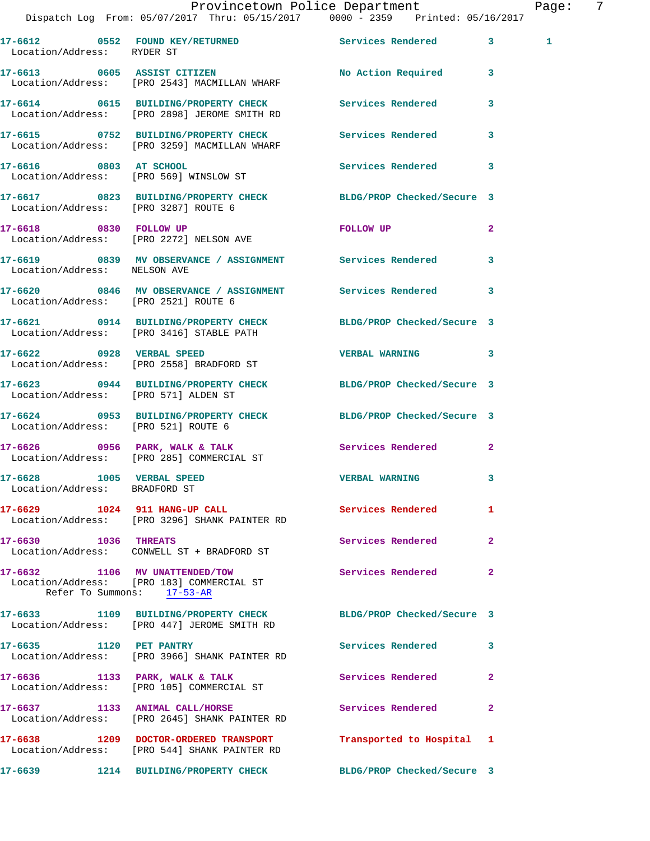## Provincetown Police Department Fage: 7

 Dispatch Log From: 05/07/2017 Thru: 05/15/2017 0000 - 2359 Printed: 05/16/2017 **17-6612 0552 FOUND KEY/RETURNED Services Rendered 3 1**  Location/Address: RYDER ST **17-6613 0605 ASSIST CITIZEN No Action Required 3**  Location/Address: [PRO 2543] MACMILLAN WHARF **17-6614 0615 BUILDING/PROPERTY CHECK Services Rendered 3**  Location/Address: [PRO 2898] JEROME SMITH RD **17-6615 0752 BUILDING/PROPERTY CHECK Services Rendered 3**  Location/Address: [PRO 3259] MACMILLAN WHARF **17-6616 0803 AT SCHOOL Services Rendered 3**  Location/Address: [PRO 569] WINSLOW ST **17-6617 0823 BUILDING/PROPERTY CHECK BLDG/PROP Checked/Secure 3**  Location/Address: [PRO 3287] ROUTE 6 **17-6618 0830 FOLLOW UP FOLLOW UP 2**  Location/Address: [PRO 2272] NELSON AVE **17-6619 0839 MV OBSERVANCE / ASSIGNMENT Services Rendered 3**  Location/Address: NELSON AVE **17-6620 0846 MV OBSERVANCE / ASSIGNMENT Services Rendered 3**  Location/Address: [PRO 2521] ROUTE 6 **17-6621 0914 BUILDING/PROPERTY CHECK BLDG/PROP Checked/Secure 3**  Location/Address: [PRO 3416] STABLE PATH **17-6622 0928 VERBAL SPEED VERBAL WARNING 3**  Location/Address: [PRO 2558] BRADFORD ST **17-6623 0944 BUILDING/PROPERTY CHECK BLDG/PROP Checked/Secure 3**  Location/Address: [PRO 571] ALDEN ST **17-6624 0953 BUILDING/PROPERTY CHECK BLDG/PROP Checked/Secure 3**  Location/Address: [PRO 521] ROUTE 6 **17-6626 0956 PARK, WALK & TALK Services Rendered 2**  Location/Address: [PRO 285] COMMERCIAL ST **17-6628 1005 VERBAL SPEED VERBAL WARNING 3**  Location/Address: BRADFORD ST 17-6629 1024 911 HANG-UP CALL **Services Rendered** 1 Location/Address: [PRO 3296] SHANK PAINTER RD **17-6630 1036 THREATS Services Rendered 2**  Location/Address: CONWELL ST + BRADFORD ST **17-6632 1106 MV UNATTENDED/TOW Services Rendered 2**  Location/Address: [PRO 183] COMMERCIAL ST Refer To Summons: 17-53-AR **17-6633 1109 BUILDING/PROPERTY CHECK BLDG/PROP Checked/Secure 3**  Location/Address: [PRO 447] JEROME SMITH RD **17-6635 1120 PET PANTRY Services Rendered 3**  Location/Address: [PRO 3966] SHANK PAINTER RD **17-6636 1133 PARK, WALK & TALK Services Rendered 2**  Location/Address: [PRO 105] COMMERCIAL ST **17-6637 1133 ANIMAL CALL/HORSE Services Rendered 2**  Location/Address: [PRO 2645] SHANK PAINTER RD **17-6638 1209 DOCTOR-ORDERED TRANSPORT Transported to Hospital 1**  Location/Address: [PRO 544] SHANK PAINTER RD **17-6639 1214 BUILDING/PROPERTY CHECK BLDG/PROP Checked/Secure 3**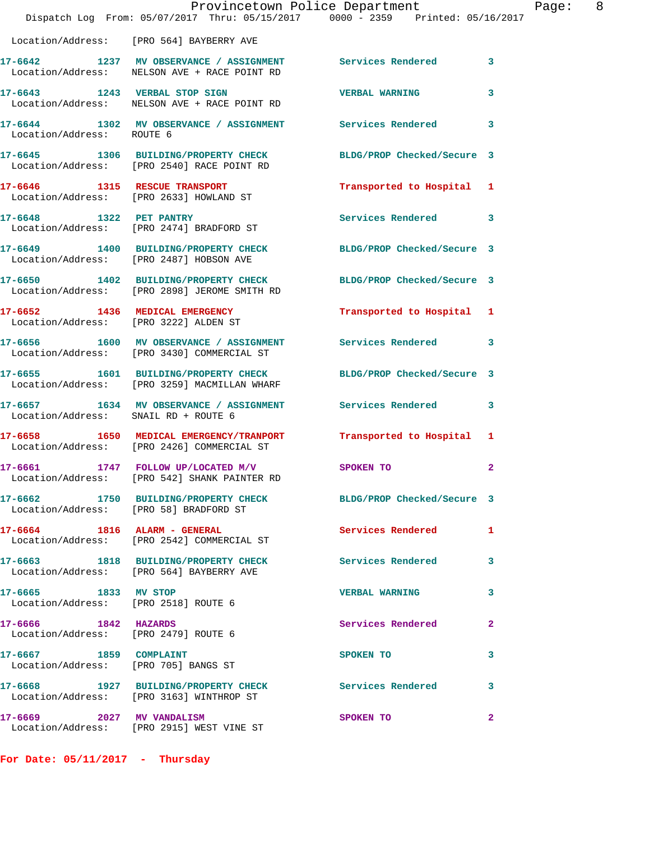|                                                                | Dispatch Log From: 05/07/2017 Thru: 05/15/2017 0000 - 2359 Printed: 05/16/2017                                  | Provincetown Police Department | Page: 8      |
|----------------------------------------------------------------|-----------------------------------------------------------------------------------------------------------------|--------------------------------|--------------|
|                                                                | Location/Address: [PRO 564] BAYBERRY AVE                                                                        |                                |              |
|                                                                | 17-6642 1237 MV OBSERVANCE / ASSIGNMENT Services Rendered 3<br>Location/Address: NELSON AVE + RACE POINT RD     |                                |              |
|                                                                | 17-6643 1243 VERBAL STOP SIGN<br>Location/Address: NELSON AVE + RACE POINT RD                                   | VERBAL WARNING 3               |              |
| Location/Address: ROUTE 6                                      | 17-6644 1302 MV OBSERVANCE / ASSIGNMENT Services Rendered 3                                                     |                                |              |
|                                                                | 17-6645 1306 BUILDING/PROPERTY CHECK BLDG/PROP Checked/Secure 3<br>Location/Address: [PRO 2540] RACE POINT RD   |                                |              |
|                                                                | 17-6646 1315 RESCUE TRANSPORT<br>Location/Address: [PRO 2633] HOWLAND ST                                        | Transported to Hospital 1      |              |
|                                                                | 17-6648 1322 PET PANTRY<br>Location/Address: [PRO 2474] BRADFORD ST                                             | Services Rendered 3            |              |
|                                                                | 17-6649 1400 BUILDING/PROPERTY CHECK BLDG/PROP Checked/Secure 3<br>Location/Address: [PRO 2487] HOBSON AVE      |                                |              |
|                                                                | 17-6650 1402 BUILDING/PROPERTY CHECK BLDG/PROP Checked/Secure 3<br>Location/Address: [PRO 2898] JEROME SMITH RD |                                |              |
| Location/Address: [PRO 3222] ALDEN ST                          | 17-6652 1436 MEDICAL EMERGENCY                                                                                  | Transported to Hospital 1      |              |
|                                                                | 17-6656 1600 MV OBSERVANCE / ASSIGNMENT Services Rendered 3<br>Location/Address: [PRO 3430] COMMERCIAL ST       |                                |              |
|                                                                | 17-6655 1601 BUILDING/PROPERTY CHECK<br>Location/Address: [PRO 3259] MACMILLAN WHARF                            | BLDG/PROP Checked/Secure 3     |              |
| Location/Address: SNAIL RD + ROUTE 6                           | 17-6657 1634 MV OBSERVANCE / ASSIGNMENT Services Rendered 3                                                     |                                |              |
|                                                                | 17-6658 1650 MEDICAL EMERGENCY/TRANPORT Transported to Hospital 1<br>Location/Address: [PRO 2426] COMMERCIAL ST |                                |              |
|                                                                | 17-6661 1747 FOLLOW UP/LOCATED M/V SPOKEN TO<br>Location/Address: [PRO 542] SHANK PAINTER RD                    |                                |              |
|                                                                | 17-6662 1750 BUILDING/PROPERTY CHECK BLDG/PROP Checked/Secure 3<br>Location/Address: [PRO 58] BRADFORD ST       |                                |              |
|                                                                | 17-6664 1816 ALARM - GENERAL<br>Location/Address: [PRO 2542] COMMERCIAL ST                                      | Services Rendered 1            |              |
|                                                                | 17-6663 1818 BUILDING/PROPERTY CHECK Services Rendered<br>Location/Address: [PRO 564] BAYBERRY AVE              |                                | 3            |
| 17-6665 1833 MV STOP<br>Location/Address: [PRO 2518] ROUTE 6   |                                                                                                                 | <b>VERBAL WARNING</b>          | 3            |
| 17-6666 1842 HAZARDS<br>Location/Address: [PRO 2479] ROUTE 6   |                                                                                                                 | Services Rendered              | $\mathbf{2}$ |
| 17-6667 1859 COMPLAINT<br>Location/Address: [PRO 705] BANGS ST |                                                                                                                 | SPOKEN TO                      | 3            |
|                                                                | 17-6668 1927 BUILDING/PROPERTY CHECK<br>Location/Address: [PRO 3163] WINTHROP ST                                | Services Rendered              | 3            |
|                                                                | 17-6669 2027 MV VANDALISM<br>Location/Address: [PRO 2915] WEST VINE ST                                          | SPOKEN TO                      | $\mathbf{2}$ |

**For Date: 05/11/2017 - Thursday**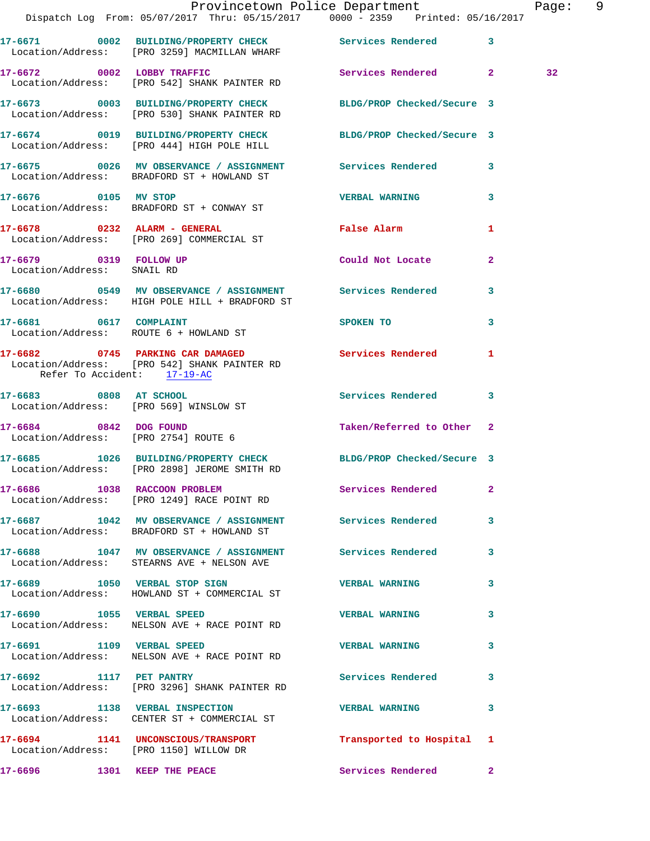|                                                      | Dispatch Log From: 05/07/2017 Thru: 05/15/2017 0000 - 2359 Printed: 05/16/2017                                  | Provincetown Police Department       |              | Page: 9         |  |
|------------------------------------------------------|-----------------------------------------------------------------------------------------------------------------|--------------------------------------|--------------|-----------------|--|
|                                                      | 17-6671 0002 BUILDING/PROPERTY CHECK Services Rendered 3<br>Location/Address: [PRO 3259] MACMILLAN WHARF        |                                      |              |                 |  |
|                                                      | 17-6672 0002 LOBBY TRAFFIC Services Rendered 2<br>Location/Address: [PRO 542] SHANK PAINTER RD                  |                                      |              | 32 <sub>2</sub> |  |
|                                                      | 17-6673 0003 BUILDING/PROPERTY CHECK BLDG/PROP Checked/Secure 3<br>Location/Address: [PRO 530] SHANK PAINTER RD |                                      |              |                 |  |
|                                                      | 17-6674 0019 BUILDING/PROPERTY CHECK BLDG/PROP Checked/Secure 3<br>Location/Address: [PRO 444] HIGH POLE HILL   |                                      |              |                 |  |
|                                                      | 17-6675 0026 MV OBSERVANCE / ASSIGNMENT Services Rendered 3<br>Location/Address: BRADFORD ST + HOWLAND ST       |                                      |              |                 |  |
| 17-6676 0105 MV STOP                                 | Location/Address: BRADFORD ST + CONWAY ST                                                                       | <b>VERBAL WARNING</b>                | 3            |                 |  |
|                                                      | 17-6678 0232 ALARM - GENERAL<br>Location/Address: [PRO 269] COMMERCIAL ST                                       | False Alarm <b>Example 2018</b>      | $\mathbf{1}$ |                 |  |
| 17-6679 0319 FOLLOW UP<br>Location/Address: SNAIL RD |                                                                                                                 | Could Not Locate                     | $\mathbf{2}$ |                 |  |
|                                                      | 17-6680 0549 MV OBSERVANCE / ASSIGNMENT Services Rendered 3<br>Location/Address: HIGH POLE HILL + BRADFORD ST   |                                      |              |                 |  |
| Location/Address: ROUTE 6 + HOWLAND ST               | 17-6681 0617 COMPLAINT                                                                                          | SPOKEN TO THE STATE OF THE SPOKEN TO | 3            |                 |  |
| Refer To Accident: 17-19-AC                          | 17-6682 0745 PARKING CAR DAMAGED Services Rendered 1<br>Location/Address: [PRO 542] SHANK PAINTER RD            |                                      |              |                 |  |
| Location/Address: [PRO 569] WINSLOW ST               | 17-6683 0808 AT SCHOOL                                                                                          | Services Rendered 3                  |              |                 |  |
| 17-6684 0842 DOG FOUND                               | Location/Address: [PRO 2754] ROUTE 6                                                                            | Taken/Referred to Other 2            |              |                 |  |
|                                                      | 17-6685 1026 BUILDING/PROPERTY CHECK BLDG/PROP Checked/Secure 3<br>Location/Address: [PRO 2898] JEROME SMITH RD |                                      |              |                 |  |
|                                                      | 17-6686 1038 RACCOON PROBLEM<br>Location/Address: [PRO 1249] RACE POINT RD                                      | Services Rendered 2                  |              |                 |  |
|                                                      | 17-6687 1042 MV OBSERVANCE / ASSIGNMENT Services Rendered<br>Location/Address: BRADFORD ST + HOWLAND ST         |                                      | 3            |                 |  |
|                                                      | 17-6688 1047 MV OBSERVANCE / ASSIGNMENT Services Rendered 3<br>Location/Address: STEARNS AVE + NELSON AVE       |                                      |              |                 |  |
|                                                      | 17-6689 1050 VERBAL STOP SIGN<br>Location/Address: HOWLAND ST + COMMERCIAL ST                                   | <b>VERBAL WARNING</b>                | 3            |                 |  |
| 17-6690 1055 VERBAL SPEED                            | Location/Address: NELSON AVE + RACE POINT RD                                                                    | <b>VERBAL WARNING</b>                | 3            |                 |  |
|                                                      | 17-6691 1109 VERBAL SPEED<br>Location/Address: NELSON AVE + RACE POINT RD                                       | <b>VERBAL WARNING</b>                | 3            |                 |  |
| 17-6692 1117 PET PANTRY                              | Location/Address: [PRO 3296] SHANK PAINTER RD                                                                   | <b>Services Rendered</b>             | 3            |                 |  |
|                                                      | 17-6693 1138 VERBAL INSPECTION<br>Location/Address: CENTER ST + COMMERCIAL ST                                   | <b>VERBAL WARNING</b>                | 3            |                 |  |
|                                                      | 17-6694 1141 UNCONSCIOUS/TRANSPORT<br>Location/Address: [PRO 1150] WILLOW DR                                    | Transported to Hospital 1            |              |                 |  |
| 17-6696 1301 KEEP THE PEACE                          |                                                                                                                 | Services Rendered 2                  |              |                 |  |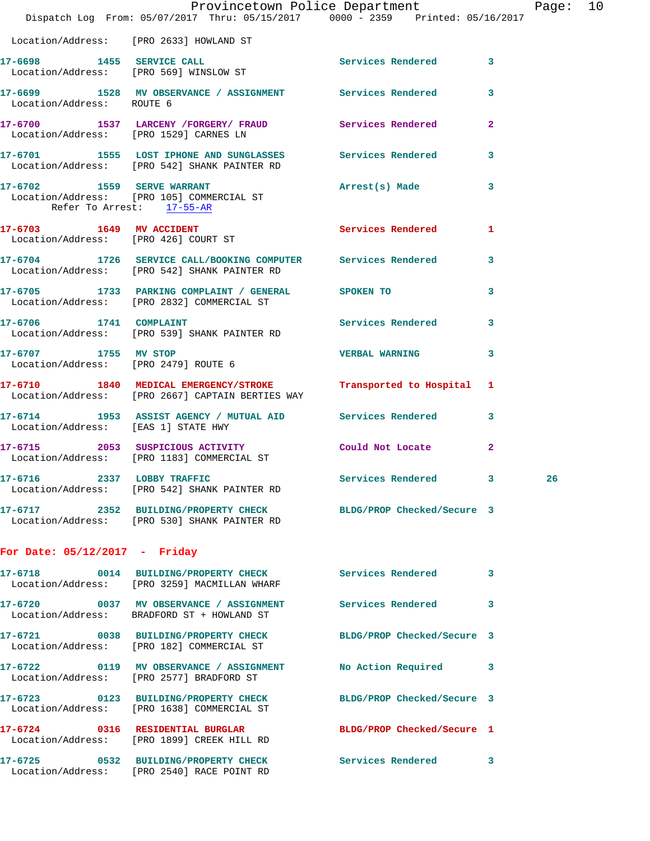|                                                         | Provincetown Police Department Fage: 10<br>Dispatch Log From: 05/07/2017 Thru: 05/15/2017 0000 - 2359 Printed: 05/16/2017 |                            |   |    |  |
|---------------------------------------------------------|---------------------------------------------------------------------------------------------------------------------------|----------------------------|---|----|--|
|                                                         | Location/Address: [PRO 2633] HOWLAND ST                                                                                   |                            |   |    |  |
|                                                         | 17-6698 1455 SERVICE CALL<br>Location/Address: [PRO 569] WINSLOW ST                                                       | Services Rendered 3        |   |    |  |
| Location/Address: ROUTE 6                               | 17-6699 1528 MV OBSERVANCE / ASSIGNMENT Services Rendered 3                                                               |                            |   |    |  |
|                                                         | 17-6700 1537 LARCENY /FORGERY / FRAUD Services Rendered 2<br>Location/Address: [PRO 1529] CARNES LN                       |                            |   |    |  |
|                                                         | 17-6701 1555 LOST IPHONE AND SUNGLASSES Services Rendered 3<br>Location/Address: [PRO 542] SHANK PAINTER RD               |                            |   |    |  |
| 17-6702 1559 SERVE WARRANT<br>Refer To Arrest: 17-55-AR | Location/Address: [PRO 105] COMMERCIAL ST                                                                                 | Arrest(s) Made 3           |   |    |  |
|                                                         | 17-6703 1649 MV ACCIDENT<br>Location/Address: [PRO 426] COURT ST                                                          | Services Rendered 1        |   |    |  |
|                                                         | 17-6704 1726 SERVICE CALL/BOOKING COMPUTER Services Rendered 3<br>Location/Address: [PRO 542] SHANK PAINTER RD            |                            |   |    |  |
|                                                         | 17-6705 1733 PARKING COMPLAINT / GENERAL SPOKEN TO<br>Location/Address: [PRO 2832] COMMERCIAL ST                          |                            | 3 |    |  |
|                                                         | 17-6706 1741 COMPLAINT 2000 Services Rendered 3<br>Location/Address: [PRO 539] SHANK PAINTER RD                           |                            |   |    |  |
| 17-6707 1755 MV STOP                                    | Location/Address: [PRO 2479] ROUTE 6                                                                                      | <b>VERBAL WARNING</b> 3    |   |    |  |
|                                                         | 17-6710 1840 MEDICAL EMERGENCY/STROKE Transported to Hospital 1<br>Location/Address: [PRO 2667] CAPTAIN BERTIES WAY       |                            |   |    |  |
| Location/Address: [EAS 1] STATE HWY                     | 17-6714 1953 ASSIST AGENCY / MUTUAL AID Services Rendered 3                                                               |                            |   |    |  |
|                                                         | 17-6715 2053 SUSPICIOUS ACTIVITY Could Not Locate 2<br>Location/Address: [PRO 1183] COMMERCIAL ST                         |                            |   |    |  |
|                                                         | 17-6716 2337 LOBBY TRAFFIC<br>Location/Address: [PRO 542] SHANK PAINTER RD                                                | Services Rendered 3        |   | 26 |  |
|                                                         | 17-6717 2352 BUILDING/PROPERTY CHECK BLDG/PROP Checked/Secure 3<br>Location/Address: [PRO 530] SHANK PAINTER RD           |                            |   |    |  |
| For Date: $05/12/2017$ - Friday                         |                                                                                                                           |                            |   |    |  |
|                                                         | 17-6718 0014 BUILDING/PROPERTY CHECK Services Rendered 3<br>Location/Address: [PRO 3259] MACMILLAN WHARF                  |                            |   |    |  |
|                                                         | 17-6720 0037 MV OBSERVANCE / ASSIGNMENT Services Rendered 3<br>Location/Address: BRADFORD ST + HOWLAND ST                 |                            |   |    |  |
|                                                         | 17-6721 0038 BUILDING/PROPERTY CHECK BLDG/PROP Checked/Secure 3<br>Location/Address: [PRO 182] COMMERCIAL ST              |                            |   |    |  |
|                                                         | 17-6722 0119 MV OBSERVANCE / ASSIGNMENT<br>Location/Address: [PRO 2577] BRADFORD ST                                       | No Action Required 3       |   |    |  |
|                                                         | 17-6723 0123 BUILDING/PROPERTY CHECK<br>Location/Address: [PRO 1638] COMMERCIAL ST                                        | BLDG/PROP Checked/Secure 3 |   |    |  |
|                                                         | 17-6724 0316 RESIDENTIAL BURGLAR BLDG/PROP Checked/Secure 1<br>Location/Address: [PRO 1899] CREEK HILL RD                 |                            |   |    |  |
|                                                         | 17-6725 0532 BUILDING/PROPERTY CHECK Services Rendered 3<br>Location/Address: [PRO 2540] RACE POINT RD                    |                            |   |    |  |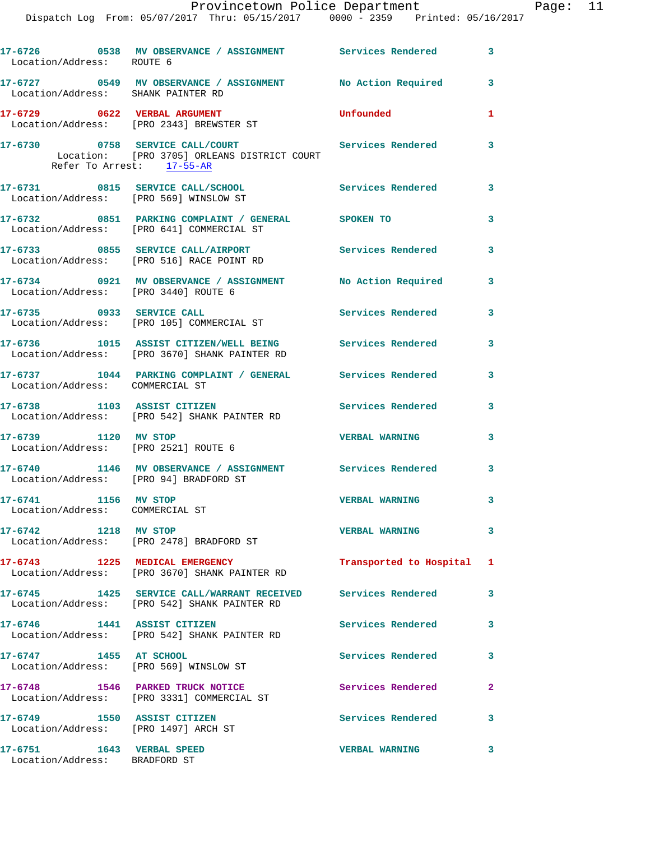## Provincetown Police Department Page: 11

Dispatch Log From: 05/07/2017 Thru: 05/15/2017 0000 - 2359 Printed: 05/16/2017

| Location/Address: ROUTE 6                                           | 17-6726 6538 MV OBSERVANCE / ASSIGNMENT Services Rendered                                                    |                           | 3                          |
|---------------------------------------------------------------------|--------------------------------------------------------------------------------------------------------------|---------------------------|----------------------------|
| Location/Address: SHANK PAINTER RD                                  | 17-6727 0549 MV OBSERVANCE / ASSIGNMENT No Action Required                                                   |                           | 3                          |
|                                                                     | 17-6729 0622 VERBAL ARGUMENT<br>Location/Address: [PRO 2343] BREWSTER ST                                     | Unfounded                 | $\mathbf{1}$               |
| Refer To Arrest: 17-55-AR                                           | 17-6730 0758 SERVICE CALL/COURT<br>Location: [PRO 3705] ORLEANS DISTRICT COURT                               | Services Rendered         | 3                          |
|                                                                     | 17-6731 0815 SERVICE CALL/SCHOOL<br>Location/Address: [PRO 569] WINSLOW ST                                   | Services Rendered         | 3                          |
|                                                                     | 17-6732 0851 PARKING COMPLAINT / GENERAL SPOKEN TO<br>Location/Address: [PRO 641] COMMERCIAL ST              |                           | 3                          |
|                                                                     | 17-6733 0855 SERVICE CALL/AIRPORT<br>Location/Address: [PRO 516] RACE POINT RD                               | <b>Services Rendered</b>  | $\mathbf{3}$               |
| Location/Address: [PRO 3440] ROUTE 6                                | 17-6734 0921 MV OBSERVANCE / ASSIGNMENT No Action Required                                                   |                           | 3                          |
| 17-6735 0933 SERVICE CALL                                           | Location/Address: [PRO 105] COMMERCIAL ST                                                                    | <b>Services Rendered</b>  | $\overline{\phantom{a}}$ 3 |
|                                                                     | 17-6736 1015 ASSIST CITIZEN/WELL BEING Services Rendered<br>Location/Address: [PRO 3670] SHANK PAINTER RD    |                           | 3                          |
| Location/Address: COMMERCIAL ST                                     | 17-6737 1044 PARKING COMPLAINT / GENERAL Services Rendered                                                   |                           | $\overline{\mathbf{3}}$    |
|                                                                     | 17-6738 1103 ASSIST CITIZEN<br>Location/Address: [PRO 542] SHANK PAINTER RD                                  | <b>Services Rendered</b>  | 3                          |
| 17-6739 1120 MV STOP<br>Location/Address: [PRO 2521] ROUTE 6        |                                                                                                              | <b>VERBAL WARNING</b>     | 3                          |
| Location/Address: [PRO 94] BRADFORD ST                              | 17-6740 1146 MV OBSERVANCE / ASSIGNMENT Services Rendered                                                    |                           | 3                          |
| 17-6741 1156 MV STOP<br>Location/Address: COMMERCIAL ST             |                                                                                                              | <b>VERBAL WARNING</b>     | 3                          |
| 17-6742 1218 MV STOP                                                | Location/Address: [PRO 2478] BRADFORD ST                                                                     | <b>VERBAL WARNING</b>     | 3                          |
| 17-6743 1225 MEDICAL EMERGENCY                                      | Location/Address: [PRO 3670] SHANK PAINTER RD                                                                | Transported to Hospital 1 |                            |
|                                                                     | 17-6745 1425 SERVICE CALL/WARRANT RECEIVED Services Rendered<br>Location/Address: [PRO 542] SHANK PAINTER RD |                           | 3                          |
| 17-6746 1441 ASSIST CITIZEN                                         | Location/Address: [PRO 542] SHANK PAINTER RD                                                                 | <b>Services Rendered</b>  | 3                          |
| 17-6747 1455 AT SCHOOL<br>Location/Address: [PRO 569] WINSLOW ST    |                                                                                                              | Services Rendered         | 3                          |
|                                                                     | 17-6748 1546 PARKED TRUCK NOTICE<br>Location/Address: [PRO 3331] COMMERCIAL ST                               | Services Rendered         | $\mathbf{2}$               |
| 17-6749 1550 ASSIST CITIZEN<br>Location/Address: [PRO 1497] ARCH ST |                                                                                                              | Services Rendered         | 3                          |
| 17-6751 1643 VERBAL SPEED<br>Location/Address: BRADFORD ST          |                                                                                                              | <b>VERBAL WARNING</b>     | 3                          |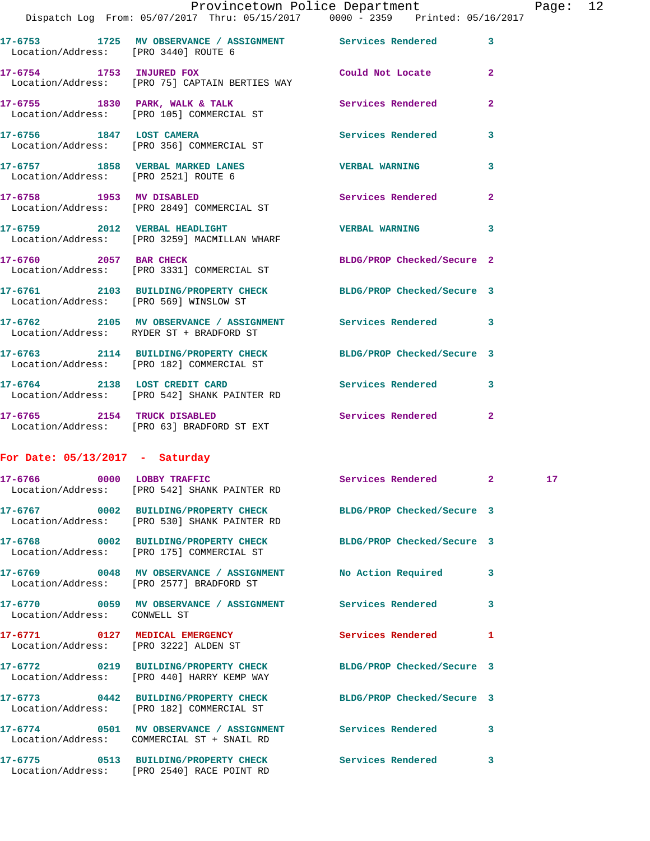|                                        | Provincetown Police Department                                                                               |                            |                |
|----------------------------------------|--------------------------------------------------------------------------------------------------------------|----------------------------|----------------|
|                                        | Dispatch Log From: 05/07/2017 Thru: 05/15/2017 0000 - 2359 Printed: 05/16/2017                               |                            |                |
| Location/Address: [PRO 3440] ROUTE 6   | 17-6753 1725 MV OBSERVANCE / ASSIGNMENT Services Rendered                                                    |                            | $\overline{3}$ |
| 17-6754 1753 INJURED FOX               | Location/Address: [PRO 75] CAPTAIN BERTIES WAY                                                               | Could Not Locate           | $\overline{2}$ |
|                                        | 17-6755 1830 PARK, WALK & TALK 1988 Services Rendered<br>Location/Address: [PRO 105] COMMERCIAL ST           |                            | $\overline{a}$ |
| 17-6756 1847 LOST CAMERA               | Location/Address: [PRO 356] COMMERCIAL ST                                                                    | <b>Services Rendered</b>   | 3              |
| Location/Address: [PRO 2521] ROUTE 6   | 17-6757 1858 VERBAL MARKED LANES                                                                             | <b>VERBAL WARNING</b>      | 3              |
|                                        | 17-6758 1953 MV DISABLED<br>Location/Address: [PRO 2849] COMMERCIAL ST                                       | <b>Services Rendered</b>   | $\overline{2}$ |
|                                        | 17-6759 2012 VERBAL HEADLIGHT<br>Location/Address: [PRO 3259] MACMILLAN WHARF                                | <b>VERBAL WARNING</b>      | 3              |
|                                        | 17-6760 2057 BAR CHECK<br>Location/Address: [PRO 3331] COMMERCIAL ST                                         | BLDG/PROP Checked/Secure 2 |                |
| Location/Address: [PRO 569] WINSLOW ST | 17-6761 2103 BUILDING/PROPERTY CHECK BLDG/PROP Checked/Secure 3                                              |                            |                |
|                                        | 17-6762 2105 MV OBSERVANCE / ASSIGNMENT Services Rendered<br>Location/Address: RYDER ST + BRADFORD ST        |                            | 3              |
|                                        | 17-6763 2114 BUILDING/PROPERTY CHECK BLDG/PROP Checked/Secure 3<br>Location/Address: [PRO 182] COMMERCIAL ST |                            |                |
|                                        | 17-6764 2138 LOST CREDIT CARD<br>Location/Address: [PRO 542] SHANK PAINTER RD                                | Services Rendered          | 3              |

Page: 12

**17-6765 2154 TRUCK DISABLED Services Rendered 2**  Location/Address: [PRO 63] BRADFORD ST EXT

## **For Date: 05/13/2017 - Saturday**

|                                       | 17-6766 0000 LOBBY TRAFFIC Services Rendered 2<br>Location/Address: [PRO 542] SHANK PAINTER RD                  |                          |              | 17 <sub>2</sub> |
|---------------------------------------|-----------------------------------------------------------------------------------------------------------------|--------------------------|--------------|-----------------|
|                                       | 17-6767 0002 BUILDING/PROPERTY CHECK BLDG/PROP Checked/Secure 3<br>Location/Address: [PRO 530] SHANK PAINTER RD |                          |              |                 |
|                                       | 17-6768 0002 BUILDING/PROPERTY CHECK BLDG/PROP Checked/Secure 3<br>Location/Address: [PRO 175] COMMERCIAL ST    |                          |              |                 |
|                                       | 17-6769 0048 MV OBSERVANCE / ASSIGNMENT No Action Required 3<br>Location/Address: [PRO 2577] BRADFORD ST        |                          |              |                 |
| Location/Address: CONWELL ST          | 17-6770 0059 MV OBSERVANCE / ASSIGNMENT Services Rendered                                                       |                          | 3            |                 |
| Location/Address: [PRO 3222] ALDEN ST | 17-6771 0127 MEDICAL EMERGENCY                                                                                  | <b>Services Rendered</b> | 1            |                 |
|                                       | 17-6772 0219 BUILDING/PROPERTY CHECK BLDG/PROP Checked/Secure 3<br>Location/Address: [PRO 440] HARRY KEMP WAY   |                          |              |                 |
|                                       | 17-6773 0442 BUILDING/PROPERTY CHECK BLDG/PROP Checked/Secure 3<br>Location/Address: [PRO 182] COMMERCIAL ST    |                          |              |                 |
|                                       | 17-6774 0501 MV OBSERVANCE / ASSIGNMENT Services Rendered<br>Location/Address: COMMERCIAL ST + SNAIL RD         |                          | $\mathbf{3}$ |                 |
|                                       | 17-6775 0513 BUILDING/PROPERTY CHECK Services Rendered<br>Location/Address: [PRO 2540] RACE POINT RD            |                          | 3            |                 |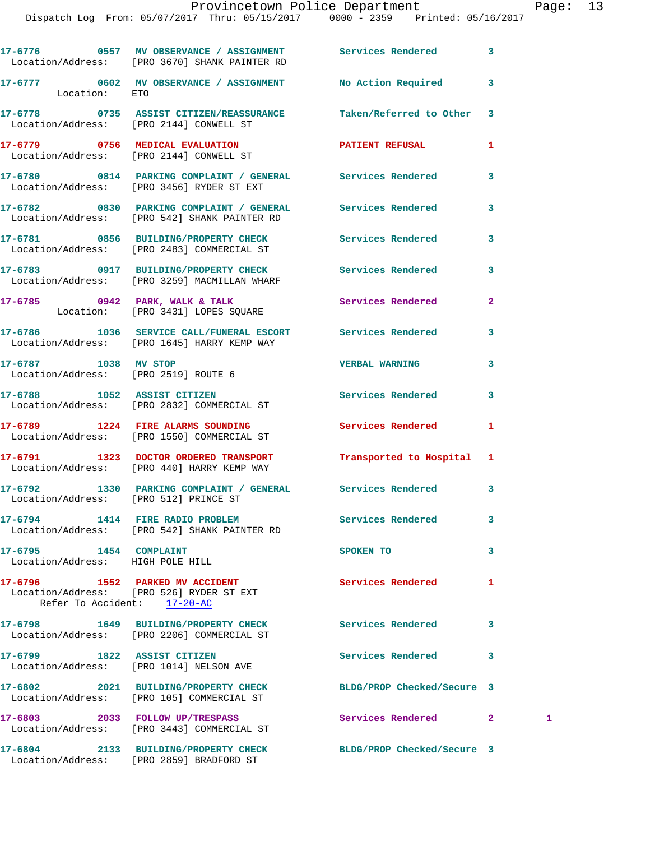|                                                              | 17-6776 69557 MV OBSERVANCE / ASSIGNMENT Services Rendered<br>Location/Address: [PRO 3670] SHANK PAINTER RD |                            | 3              |   |
|--------------------------------------------------------------|-------------------------------------------------------------------------------------------------------------|----------------------------|----------------|---|
| Location: ETO                                                | 17-6777 0602 MV OBSERVANCE / ASSIGNMENT No Action Required                                                  |                            | 3              |   |
| Location/Address: [PRO 2144] CONWELL ST                      | 17-6778 0735 ASSIST CITIZEN/REASSURANCE Taken/Referred to Other                                             |                            | 3              |   |
|                                                              | 17-6779 0756 MEDICAL EVALUATION<br>Location/Address: [PRO 2144] CONWELL ST                                  | PATIENT REFUSAL            | 1              |   |
|                                                              | 17-6780 0814 PARKING COMPLAINT / GENERAL Services Rendered<br>Location/Address: [PRO 3456] RYDER ST EXT     |                            | 3              |   |
|                                                              | 17-6782 0830 PARKING COMPLAINT / GENERAL Services Rendered<br>Location/Address: [PRO 542] SHANK PAINTER RD  |                            | 3              |   |
|                                                              | 17-6781 0856 BUILDING/PROPERTY CHECK Services Rendered<br>Location/Address: [PRO 2483] COMMERCIAL ST        |                            | 3              |   |
|                                                              | 17-6783 0917 BUILDING/PROPERTY CHECK Services Rendered<br>Location/Address: [PRO 3259] MACMILLAN WHARF      |                            | 3              |   |
|                                                              | 17-6785 0942 PARK, WALK & TALK 3 Services Rendered<br>Location: [PRO 3431] LOPES SQUARE                     |                            | $\overline{a}$ |   |
|                                                              | 17-6786 1036 SERVICE CALL/FUNERAL ESCORT Services Rendered<br>Location/Address: [PRO 1645] HARRY KEMP WAY   |                            | 3              |   |
| 17-6787 1038 MV STOP<br>Location/Address: [PRO 2519] ROUTE 6 |                                                                                                             | <b>VERBAL WARNING</b>      | 3              |   |
|                                                              | 17-6788 1052 ASSIST CITIZEN<br>Location/Address: [PRO 2832] COMMERCIAL ST                                   | <b>Services Rendered</b>   | 3              |   |
|                                                              | 17-6789 1224 FIRE ALARMS SOUNDING<br>Location/Address: [PRO 1550] COMMERCIAL ST                             | Services Rendered          | 1              |   |
|                                                              | 17-6791 1323 DOCTOR ORDERED TRANSPORT<br>Location/Address: [PRO 440] HARRY KEMP WAY                         | Transported to Hospital 1  |                |   |
| Location/Address: [PRO 512] PRINCE ST                        | 17-6792 1330 PARKING COMPLAINT / GENERAL Services Rendered                                                  |                            | 3              |   |
|                                                              | 17-6794 1414 FIRE RADIO PROBLEM<br>Location/Address: [PRO 542] SHANK PAINTER RD                             | Services Rendered          | 3              |   |
| 17-6795 1454 COMPLAINT<br>Location/Address: HIGH POLE HILL   |                                                                                                             | SPOKEN TO                  | 3              |   |
| Refer To Accident: 17-20-AC                                  | 17-6796 1552 PARKED MV ACCIDENT<br>Location/Address: [PRO 526] RYDER ST EXT                                 | <b>Services Rendered</b>   | 1              |   |
|                                                              | 17-6798 1649 BUILDING/PROPERTY CHECK Services Rendered<br>Location/Address: [PRO 2206] COMMERCIAL ST        |                            | 3              |   |
| 17-6799 1822 ASSIST CITIZEN                                  | Location/Address: [PRO 1014] NELSON AVE                                                                     | <b>Services Rendered</b>   | 3              |   |
|                                                              | 17-6802 2021 BUILDING/PROPERTY CHECK<br>Location/Address: [PRO 105] COMMERCIAL ST                           | BLDG/PROP Checked/Secure 3 |                |   |
|                                                              | 17-6803 2033 FOLLOW UP/TRESPASS<br>Location/Address: [PRO 3443] COMMERCIAL ST                               | Services Rendered          | 2 <sup>1</sup> | 1 |
|                                                              | 17-6804 2133 BUILDING/PROPERTY CHECK BLDG/PROP Checked/Secure 3                                             |                            |                |   |

Location/Address: [PRO 2859] BRADFORD ST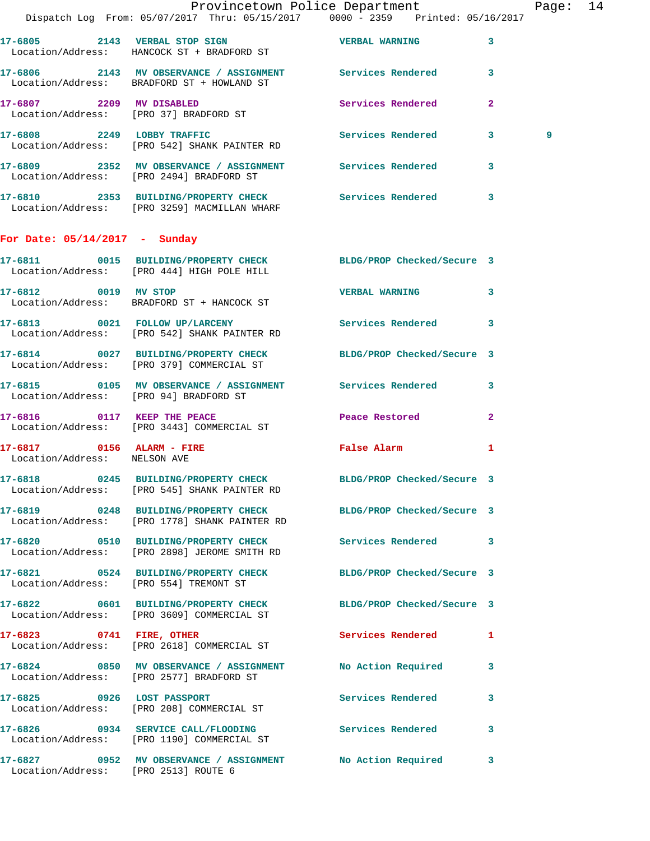|                                      | Provincetown Police Department The Rage: 14<br>Dispatch Log From: 05/07/2017 Thru: 05/15/2017 0000 - 2359 Printed: 05/16/2017 |                              |              |   |  |
|--------------------------------------|-------------------------------------------------------------------------------------------------------------------------------|------------------------------|--------------|---|--|
|                                      | 17-6805 2143 VERBAL STOP SIGN NERBAL WERBAL WARNING<br>Location/Address: HANCOCK ST + BRADFORD ST                             |                              | $\mathbf{3}$ |   |  |
|                                      | 17-6806 2143 MV OBSERVANCE / ASSIGNMENT Services Rendered 3<br>Location/Address: BRADFORD ST + HOWLAND ST                     |                              |              |   |  |
|                                      | 17-6807 2209 MV DISABLED<br>Location/Address: [PRO 37] BRADFORD ST                                                            | Services Rendered            | $\mathbf{2}$ |   |  |
|                                      | 17-6808 2249 LOBBY TRAFFIC Services Rendered 3<br>Location/Address: [PRO 542] SHANK PAINTER RD                                |                              |              | 9 |  |
|                                      | 17-6809 2352 MV OBSERVANCE / ASSIGNMENT Services Rendered 3<br>Location/Address: [PRO 2494] BRADFORD ST                       |                              |              |   |  |
|                                      | 17-6810 2353 BUILDING/PROPERTY CHECK Services Rendered<br>Location/Address: [PRO 3259] MACMILLAN WHARF                        |                              | 3            |   |  |
| For Date: $05/14/2017$ - Sunday      |                                                                                                                               |                              |              |   |  |
|                                      | 17-6811 0015 BUILDING/PROPERTY CHECK BLDG/PROP Checked/Secure 3<br>Location/Address: [PRO 444] HIGH POLE HILL                 |                              |              |   |  |
|                                      | 17-6812 0019 MV STOP<br>Location/Address: BRADFORD ST + HANCOCK ST                                                            | VERBAL WARNING 3             |              |   |  |
|                                      | 17-6813 0021 FOLLOW UP/LARCENY Services Rendered<br>Location/Address: [PRO 542] SHANK PAINTER RD                              |                              | 3            |   |  |
|                                      | 17-6814 0027 BUILDING/PROPERTY CHECK BLDG/PROP Checked/Secure 3<br>Location/Address: [PRO 379] COMMERCIAL ST                  |                              |              |   |  |
|                                      | 17-6815 0105 MV OBSERVANCE / ASSIGNMENT Services Rendered<br>Location/Address: [PRO 94] BRADFORD ST                           |                              | 3            |   |  |
|                                      | 17-6816 0117 KEEP THE PEACE 2008 Peace Restored<br>Location/Address: [PRO 3443] COMMERCIAL ST                                 |                              | $\mathbf{2}$ |   |  |
| Location/Address: NELSON AVE         | 17-6817 0156 ALARM - FIRE                                                                                                     | <b>Example 2</b> False Alarm | 1            |   |  |
|                                      | 17-6818 0245 BUILDING/PROPERTY CHECK<br>Location/Address: [PRO 545] SHANK PAINTER RD                                          | BLDG/PROP Checked/Secure 3   |              |   |  |
|                                      | 17-6819 		 0248 BUILDING/PROPERTY CHECK 		 BLDG/PROP Checked/Secure 3<br>Location/Address: [PRO 1778] SHANK PAINTER RD        |                              |              |   |  |
|                                      | 17-6820 0510 BUILDING/PROPERTY CHECK Services Rendered 3<br>Location/Address: [PRO 2898] JEROME SMITH RD                      |                              |              |   |  |
|                                      | 17-6821 0524 BUILDING/PROPERTY CHECK BLDG/PROP Checked/Secure 3<br>Location/Address: [PRO 554] TREMONT ST                     |                              |              |   |  |
|                                      | 17-6822 0601 BUILDING/PROPERTY CHECK BLDG/PROP Checked/Secure 3<br>Location/Address: [PRO 3609] COMMERCIAL ST                 |                              |              |   |  |
|                                      | 17-6823 0741 FIRE, OTHER<br>Location/Address: [PRO 2618] COMMERCIAL ST                                                        | <b>Services Rendered</b>     | $\mathbf{1}$ |   |  |
|                                      | 17-6824 0850 MV OBSERVANCE / ASSIGNMENT No Action Required 3<br>Location/Address: [PRO 2577] BRADFORD ST                      |                              |              |   |  |
|                                      | 17-6825 0926 LOST PASSPORT<br>Location/Address: [PRO 208] COMMERCIAL ST                                                       | Services Rendered            | 3            |   |  |
|                                      | 17-6826 0934 SERVICE CALL/FLOODING Services Rendered<br>Location/Address: [PRO 1190] COMMERCIAL ST                            |                              | 3            |   |  |
| Location/Address: [PRO 2513] ROUTE 6 | 17-6827 0952 MV OBSERVANCE / ASSIGNMENT No Action Required                                                                    |                              | 3            |   |  |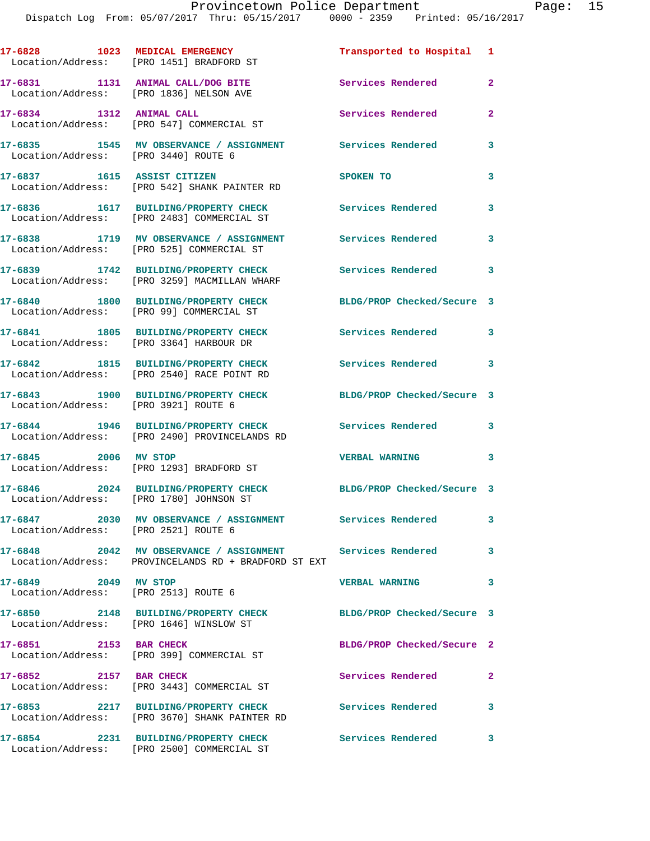|         |                          | 17-6828 1023 MEDICAL EMERGENCY<br>Location/Address: [PRO 1451] BRADFORD ST                                        | Transported to Hospital 1  |                |
|---------|--------------------------|-------------------------------------------------------------------------------------------------------------------|----------------------------|----------------|
|         |                          | 17-6831 1131 ANIMAL CALL/DOG BITE<br>Location/Address: [PRO 1836] NELSON AVE                                      | Services Rendered          | $\overline{a}$ |
|         | 17-6834 1312 ANIMAL CALL | Location/Address: [PRO 547] COMMERCIAL ST                                                                         | Services Rendered          | $\mathbf{2}$   |
|         |                          | 17-6835 1545 MV OBSERVANCE / ASSIGNMENT Services Rendered<br>Location/Address: [PRO 3440] ROUTE 6                 |                            | 3              |
|         |                          | 17-6837 1615 ASSIST CITIZEN<br>Location/Address: [PRO 542] SHANK PAINTER RD                                       | SPOKEN TO                  | 3              |
|         |                          | 17-6836 1617 BUILDING/PROPERTY CHECK<br>Location/Address: [PRO 2483] COMMERCIAL ST                                | Services Rendered          | 3              |
|         |                          | 17-6838 1719 MV OBSERVANCE / ASSIGNMENT<br>Location/Address: [PRO 525] COMMERCIAL ST                              | <b>Services Rendered</b>   | $\mathbf{3}$   |
|         |                          | 17-6839 1742 BUILDING/PROPERTY CHECK<br>Location/Address: [PRO 3259] MACMILLAN WHARF                              | Services Rendered 3        |                |
|         |                          | 17-6840 1800 BUILDING/PROPERTY CHECK<br>Location/Address: [PRO 99] COMMERCIAL ST                                  | BLDG/PROP Checked/Secure 3 |                |
|         |                          | 17-6841 1805 BUILDING/PROPERTY CHECK<br>Location/Address: [PRO 3364] HARBOUR DR                                   | Services Rendered 3        |                |
|         |                          | 17-6842 1815 BUILDING/PROPERTY CHECK<br>Location/Address: [PRO 2540] RACE POINT RD                                | <b>Services Rendered</b>   | 3              |
|         |                          | 17-6843 1900 BUILDING/PROPERTY CHECK<br>Location/Address: [PRO 3921] ROUTE 6                                      | BLDG/PROP Checked/Secure 3 |                |
|         |                          | 17-6844 1946 BUILDING/PROPERTY CHECK<br>Location/Address: [PRO 2490] PROVINCELANDS RD                             | <b>Services Rendered</b>   | $\mathbf{3}$   |
|         | 17-6845 2006 MV STOP     | Location/Address: [PRO 1293] BRADFORD ST                                                                          | <b>VERBAL WARNING</b>      | 3              |
|         |                          | 17-6846 2024 BUILDING/PROPERTY CHECK<br>Location/Address: [PRO 1780] JOHNSON ST                                   | BLDG/PROP Checked/Secure 3 |                |
|         |                          | 17-6847 2030 MV OBSERVANCE / ASSIGNMENT Services Rendered<br>Location/Address: [PRO 2521] ROUTE 6                 |                            | 3              |
|         |                          | 17-6848 2042 MV OBSERVANCE / ASSIGNMENT Services Rendered<br>Location/Address: PROVINCELANDS RD + BRADFORD ST EXT |                            | 3              |
|         | 17-6849 2049 MV STOP     | Location/Address: [PRO 2513] ROUTE 6                                                                              | <b>VERBAL WARNING</b>      | 3              |
|         |                          | 17-6850 2148 BUILDING/PROPERTY CHECK<br>Location/Address: [PRO 1646] WINSLOW ST                                   | BLDG/PROP Checked/Secure 3 |                |
|         | 17-6851 2153 BAR CHECK   | Location/Address: [PRO 399] COMMERCIAL ST                                                                         | BLDG/PROP Checked/Secure 2 |                |
|         | 17-6852 2157 BAR CHECK   | Location/Address: [PRO 3443] COMMERCIAL ST                                                                        | Services Rendered          | $\mathbf{2}$   |
|         |                          | 17-6853 2217 BUILDING/PROPERTY CHECK<br>Location/Address: [PRO 3670] SHANK PAINTER RD                             | Services Rendered          | 3              |
| 17-6854 |                          | 2231 BUILDING/PROPERTY CHECK                                                                                      | <b>Services Rendered</b>   | $\mathbf{3}$   |

Location/Address: [PRO 2500] COMMERCIAL ST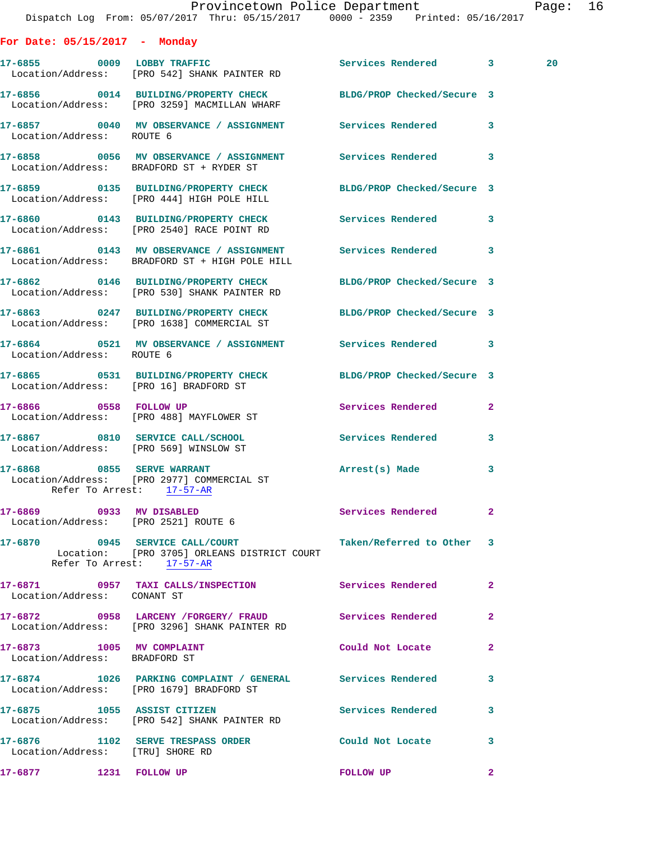|                                                            | Dispatch Log From: 05/07/2017 Thru: 05/15/2017 0000 - 2359 Printed: 05/16/2017                                                        | Provincetown Police Department |              | Page: 16 |  |
|------------------------------------------------------------|---------------------------------------------------------------------------------------------------------------------------------------|--------------------------------|--------------|----------|--|
| For Date: $05/15/2017$ - Monday                            |                                                                                                                                       |                                |              |          |  |
|                                                            | 17-6855 0009 LOBBY TRAFFIC<br>Location/Address: [PRO 542] SHANK PAINTER RD                                                            | Services Rendered 3            |              | 20       |  |
|                                                            | 17-6856 0014 BUILDING/PROPERTY CHECK BLDG/PROP Checked/Secure 3<br>Location/Address: [PRO 3259] MACMILLAN WHARF                       |                                |              |          |  |
| Location/Address: ROUTE 6                                  | 17-6857 60040 MV OBSERVANCE / ASSIGNMENT Services Rendered 3                                                                          |                                |              |          |  |
|                                                            | 17-6858 0056 MV OBSERVANCE / ASSIGNMENT Services Rendered 3<br>Location/Address: BRADFORD ST + RYDER ST                               |                                |              |          |  |
|                                                            | 17-6859 0135 BUILDING/PROPERTY CHECK BLDG/PROP Checked/Secure 3<br>Location/Address: [PRO 444] HIGH POLE HILL                         |                                |              |          |  |
|                                                            | 17-6860 0143 BUILDING/PROPERTY CHECK Services Rendered 3<br>Location/Address: [PRO 2540] RACE POINT RD                                |                                |              |          |  |
|                                                            | 17-6861 0143 MV OBSERVANCE / ASSIGNMENT Services Rendered 3<br>Location/Address: BRADFORD ST + HIGH POLE HILL                         |                                |              |          |  |
|                                                            | 17-6862 0146 BUILDING/PROPERTY CHECK BLDG/PROP Checked/Secure 3<br>Location/Address: [PRO 530] SHANK PAINTER RD                       |                                |              |          |  |
|                                                            | 17-6863 0247 BUILDING/PROPERTY CHECK BLDG/PROP Checked/Secure 3<br>Location/Address: [PRO 1638] COMMERCIAL ST                         |                                |              |          |  |
| Location/Address: ROUTE 6                                  | 17-6864 0521 MV OBSERVANCE / ASSIGNMENT Services Rendered 3                                                                           |                                |              |          |  |
| Location/Address: [PRO 16] BRADFORD ST                     | 17-6865 0531 BUILDING/PROPERTY CHECK BLDG/PROP Checked/Secure 3                                                                       |                                |              |          |  |
|                                                            | 17-6866 0558 FOLLOW UP<br>Location/Address: [PRO 488] MAYFLOWER ST                                                                    | Services Rendered 2            |              |          |  |
| Location/Address: [PRO 569] WINSLOW ST                     | 17-6867 0810 SERVICE CALL/SCHOOL                                                                                                      | Services Rendered              | $\mathbf{3}$ |          |  |
|                                                            | 17-6868 0855 SERVE WARRANT<br>Location/Address: [PRO 2977] COMMERCIAL ST<br>Refer To Arrest: 17-57-AR                                 | Arrest(s) Made                 | 3            |          |  |
|                                                            | 17-6869 0933 MV DISABLED<br>Location/Address: [PRO 2521] ROUTE 6                                                                      | Services Rendered 2            |              |          |  |
|                                                            | 17-6870 0945 SERVICE CALL/COURT Taken/Referred to Other 3<br>Location: [PRO 3705] ORLEANS DISTRICT COURT<br>Refer To Arrest: 17-57-AR |                                |              |          |  |
| Location/Address: CONANT ST                                | 17-6871 0957 TAXI CALLS/INSPECTION Services Rendered 2                                                                                |                                |              |          |  |
|                                                            | 17-6872 0958 LARCENY / FORGERY / FRAUD Services Rendered 2<br>Location/Address: [PRO 3296] SHANK PAINTER RD                           |                                |              |          |  |
| 17-6873 1005 MV COMPLAINT<br>Location/Address: BRADFORD ST |                                                                                                                                       | Could Not Locate               | $\mathbf{2}$ |          |  |
|                                                            | 17-6874 1026 PARKING COMPLAINT / GENERAL Services Rendered 3<br>Location/Address: [PRO 1679] BRADFORD ST                              |                                |              |          |  |
|                                                            | 17-6875 1055 ASSIST CITIZEN<br>Location/Address: [PRO 542] SHANK PAINTER RD                                                           | Services Rendered 3            |              |          |  |
| Location/Address: [TRU] SHORE RD                           | 17-6876 1102 SERVE TRESPASS ORDER Could Not Locate 3                                                                                  |                                |              |          |  |
| 17-6877 1231 FOLLOW UP                                     |                                                                                                                                       | FOLLOW UP                      | $\mathbf{2}$ |          |  |